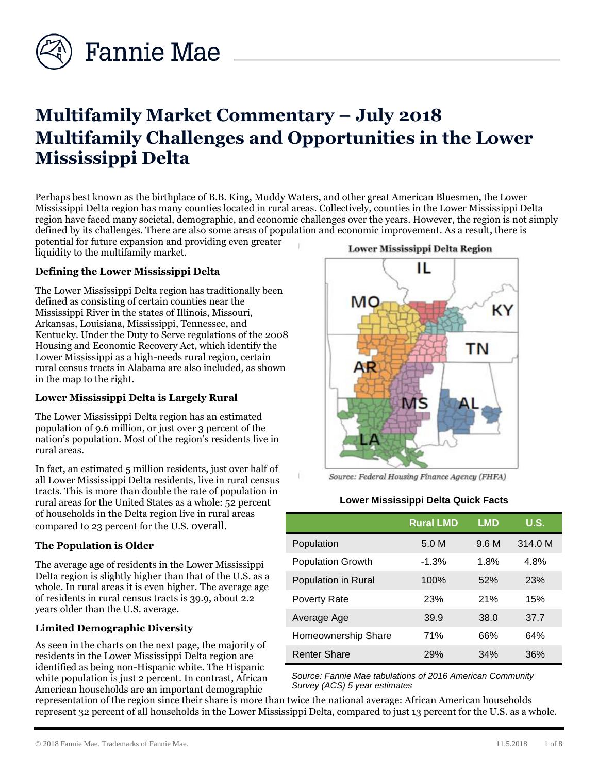

# **Multifamily Market Commentary – July 2018 Multifamily Challenges and Opportunities in the Lower Mississippi Delta**

Perhaps best known as the birthplace of B.B. King, Muddy Waters, and other great American Bluesmen, the Lower Mississippi Delta region has many counties located in rural areas. Collectively, counties in the Lower Mississippi Delta region have faced many societal, demographic, and economic challenges over the years. However, the region is not simply defined by its challenges. There are also some areas of population and economic improvement. As a result, there is

potential for future expansion and providing even greater liquidity to the multifamily market.

## **Defining the Lower Mississippi Delta**

The Lower Mississippi Delta region has traditionally been defined as consisting of certain counties near the Mississippi River in the states of Illinois, Missouri, Arkansas, Louisiana, Mississippi, Tennessee, and Kentucky. Under the Duty to Serve regulations of the 2008 Housing and Economic Recovery Act, which identify the Lower Mississippi as a high-needs rural region, certain rural census tracts in Alabama are also included, as shown in the map to the right.

## **Lower Mississippi Delta is Largely Rural**

The Lower Mississippi Delta region has an estimated population of 9.6 million, or just over 3 percent of the nation's population. Most of the region's residents live in rural areas.

In fact, an estimated 5 million residents, just over half of all Lower Mississippi Delta residents, live in rural census tracts. This is more than double the rate of population in rural areas for the United States as a whole: 52 percent of households in the Delta region live in rural areas compared to 23 percent for the U.S. overall.

## **The Population is Older**

The average age of residents in the Lower Mississippi Delta region is slightly higher than that of the U.S. as a whole. In rural areas it is even higher. The average age of residents in rural census tracts is 39.9, about 2.2 years older than the U.S. average.

## **Limited Demographic Diversity**

As seen in the charts on the next page, the majority of residents in the Lower Mississippi Delta region are identified as being non-Hispanic white. The Hispanic white population is just 2 percent. In contrast, African American households are an important demographic

#### Lower Mississippi Delta Region



Source: Federal Housing Finance Agency (FHFA)

#### **Lower Mississippi Delta Quick Facts**

|                          | <b>Rural LMD</b> | <b>LMD</b> | U.S.    |
|--------------------------|------------------|------------|---------|
| Population               | 5.0 M            | 9.6 M      | 314.0 M |
| <b>Population Growth</b> | $-1.3%$          | 1.8%       | 4.8%    |
| Population in Rural      | 100%             | 52%        | 23%     |
| Poverty Rate             | 23%              | 21%        | 15%     |
| Average Age              | 39.9             | 38.0       | 37.7    |
| Homeownership Share      | 71%              | 66%        | 64%     |
| <b>Renter Share</b>      | 29%              | 34%        | 36%     |

*Source: Fannie Mae tabulations of 2016 American Community Survey (ACS) 5 year estimates* 

representation of the region since their share is more than twice the national average: African American households represent 32 percent of all households in the Lower Mississippi Delta, compared to just 13 percent for the U.S. as a whole.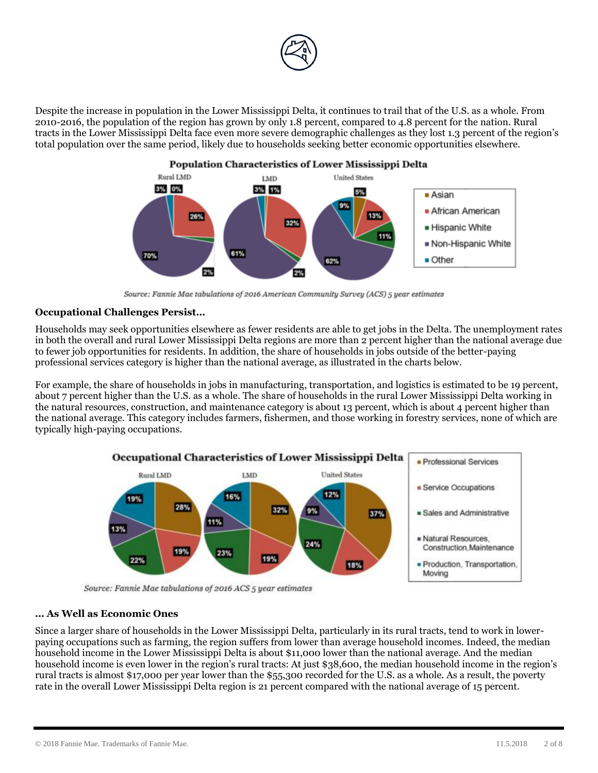

Despite the increase in population in the Lower Mississippi Delta, it continues to trail that of the U.S. as a whole. From 2010-2016, the population of the region has grown by only 1.8 percent, compared to 4.8 percent for the nation. Rural tracts in the Lower Mississippi Delta face even more severe demographic challenges as they lost 1.3 percent of the region's total population over the same period, likely due to households seeking better economic opportunities elsewhere.



Source: Fannie Mae tabulations of 2016 American Community Survey (ACS) 5 year estimates

#### **Occupational Challenges Persist…**

Households may seek opportunities elsewhere as fewer residents are able to get jobs in the Delta. The unemployment rates in both the overall and rural Lower Mississippi Delta regions are more than 2 percent higher than the national average due to fewer job opportunities for residents. In addition, the share of households in jobs outside of the better-paying professional services category is higher than the national average, as illustrated in the charts below.

For example, the share of households in jobs in manufacturing, transportation, and logistics is estimated to be 19 percent, about 7 percent higher than the U.S. as a whole. The share of households in the rural Lower Mississippi Delta working in the natural resources, construction, and maintenance category is about 13 percent, which is about 4 percent higher than the national average. This category includes farmers, fishermen, and those working in forestry services, none of which are typically high-paying occupations.



Source: Fannie Mae tabulations of 2016 ACS 5 year estimates

## **… As Well as Economic Ones**

Since a larger share of households in the Lower Mississippi Delta, particularly in its rural tracts, tend to work in lowerpaying occupations such as farming, the region suffers from lower than average household incomes. Indeed, the median household income in the Lower Mississippi Delta is about \$11,000 lower than the national average. And the median household income is even lower in the region's rural tracts: At just \$38,600, the median household income in the region's rural tracts is almost \$17,000 per year lower than the \$55,300 recorded for the U.S. as a whole. As a result, the poverty rate in the overall Lower Mississippi Delta region is 21 percent compared with the national average of 15 percent.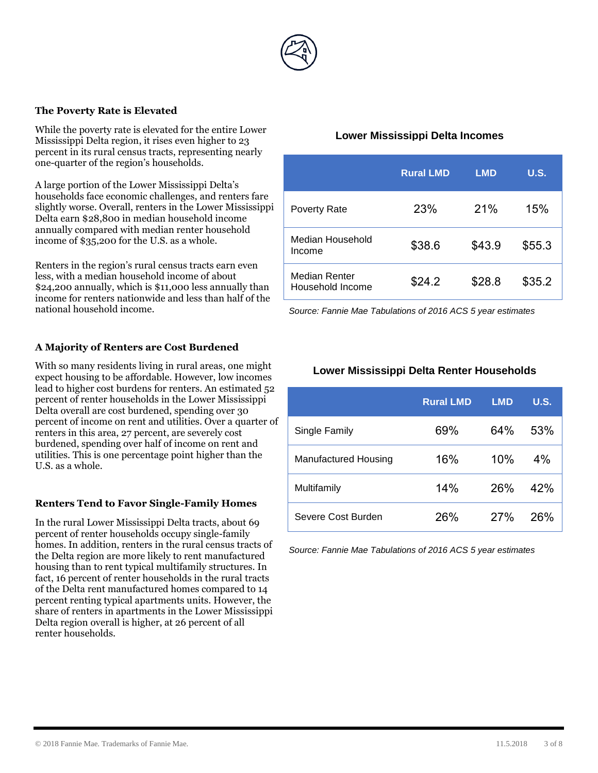

#### **The Poverty Rate is Elevated**

While the poverty rate is elevated for the entire Lower Mississippi Delta region, it rises even higher to 23 percent in its rural census tracts, representing nearly one-quarter of the region's households.

A large portion of the Lower Mississippi Delta's households face economic challenges, and renters fare slightly worse. Overall, renters in the Lower Mississippi Delta earn \$28,800 in median household income annually compared with median renter household income of \$35,200 for the U.S. as a whole.

Renters in the region's rural census tracts earn even less, with a median household income of about \$24,200 annually, which is \$11,000 less annually than income for renters nationwide and less than half of the national household income.

## **A Majority of Renters are Cost Burdened**

With so many residents living in rural areas, one might expect housing to be affordable. However, low incomes lead to higher cost burdens for renters. An estimated 52 percent of renter households in the Lower Mississippi Delta overall are cost burdened, spending over 30 percent of income on rent and utilities. Over a quarter of renters in this area, 27 percent, are severely cost burdened, spending over half of income on rent and utilities. This is one percentage point higher than the U.S. as a whole.

#### **Renters Tend to Favor Single-Family Homes**

In the rural Lower Mississippi Delta tracts, about 69 percent of renter households occupy single-family homes. In addition, renters in the rural census tracts of the Delta region are more likely to rent manufactured housing than to rent typical multifamily structures. In fact, 16 percent of renter households in the rural tracts of the Delta rent manufactured homes compared to 14 percent renting typical apartments units. However, the share of renters in apartments in the Lower Mississippi Delta region overall is higher, at 26 percent of all renter households.

## **Lower Mississippi Delta Incomes**

|                                   | <b>Rural LMD</b> | <b>LMD</b> | <b>U.S.</b> |
|-----------------------------------|------------------|------------|-------------|
| <b>Poverty Rate</b>               | 23%              | 21%        | 15%         |
| Median Household<br>Income        | \$38.6           | \$43.9     | \$55.3      |
| Median Renter<br>Household Income | \$24.2           | \$28.8     | \$35.2      |

*Source: Fannie Mae Tabulations of 2016 ACS 5 year estimates* 

## **Lower Mississippi Delta Renter Households**

|                             | <b>Rural LMD</b> | <b>LMD</b> | <b>U.S.</b> |
|-----------------------------|------------------|------------|-------------|
| Single Family               | 69%              | 64%        | 53%         |
| <b>Manufactured Housing</b> | 16%              | 10%        | $4\%$       |
| Multifamily                 | 14%              | 26%        | 42%         |
| Severe Cost Burden          | 26%              | 27%        | 26%         |

*Source: Fannie Mae Tabulations of 2016 ACS 5 year estimates*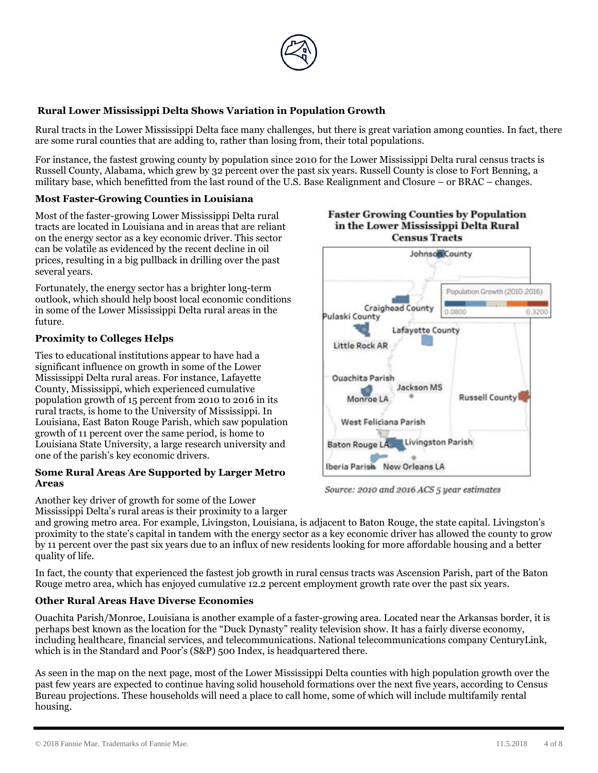

## **Rural Lower Mississippi Delta Shows Variation in Population Growth**

Rural tracts in the Lower Mississippi Delta face many challenges, but there is great variation among counties. In fact, there are some rural counties that are adding to, rather than losing from, their total populations.

For instance, the fastest growing county by population since 2010 for the Lower Mississippi Delta rural census tracts is Russell County, Alabama, which grew by 32 percent over the past six years. Russell County is close to Fort Benning, a military base, which benefitted from the last round of the U.S. Base Realignment and Closure – or BRAC – changes.

## **Most Faster-Growing Counties in Louisiana**

Most of the faster-growing Lower Mississippi Delta rural tracts are located in Louisiana and in areas that are reliant on the energy sector as a key economic driver. This sector can be volatile as evidenced by the recent decline in oil prices, resulting in a big pullback in drilling over the past several years.

Fortunately, the energy sector has a brighter long-term outlook, which should help boost local economic conditions in some of the Lower Mississippi Delta rural areas in the future.

#### **Proximity to Colleges Helps**

Ties to educational institutions appear to have had a significant influence on growth in some of the Lower Mississippi Delta rural areas. For instance, Lafayette County, Mississippi, which experienced cumulative population growth of 15 percent from 2010 to 2016 in its rural tracts, is home to the University of Mississippi. In Louisiana, East Baton Rouge Parish, which saw population growth of 11 percent over the same period, is home to Louisiana State University, a large research university and one of the parish's key economic drivers.

#### **Some Rural Areas Are Supported by Larger Metro Areas**

Another key driver of growth for some of the Lower Mississippi Delta's rural areas is their proximity to a larger

and growing metro area. For example, Livingston, Louisiana, is adjacent to Baton Rouge, the state capital. Livingston's proximity to the state's capital in tandem with the energy sector as a key economic driver has allowed the county to grow by 11 percent over the past six years due to an influx of new residents looking for more affordable housing and a better quality of life.

In fact, the county that experienced the fastest job growth in rural census tracts was Ascension Parish, part of the Baton Rouge metro area, which has enjoyed cumulative 12.2 percent employment growth rate over the past six years.

#### **Other Rural Areas Have Diverse Economies**

Ouachita Parish/Monroe, Louisiana is another example of a faster-growing area. Located near the Arkansas border, it is perhaps best known as the location for the "Duck Dynasty" reality television show. It has a fairly diverse economy, including healthcare, financial services, and telecommunications. National telecommunications company CenturyLink, which is in the Standard and Poor's (S&P) 500 Index, is headquartered there.

As seen in the map on the next page, most of the Lower Mississippi Delta counties with high population growth over the past few years are expected to continue having solid household formations over the next five years, according to Census Bureau projections. These households will need a place to call home, some of which will include multifamily rental housing.





Source: 2010 and 2016 ACS 5 year estimates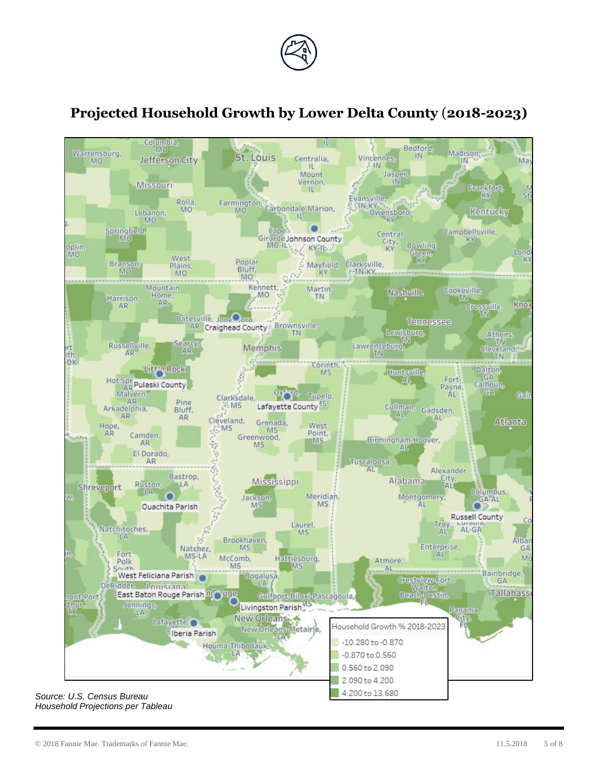

## **Projected Household Growth by Lower Delta County** (**2018-2023)**



*Source: U.S. Census Bureau Household Projections per Tableau*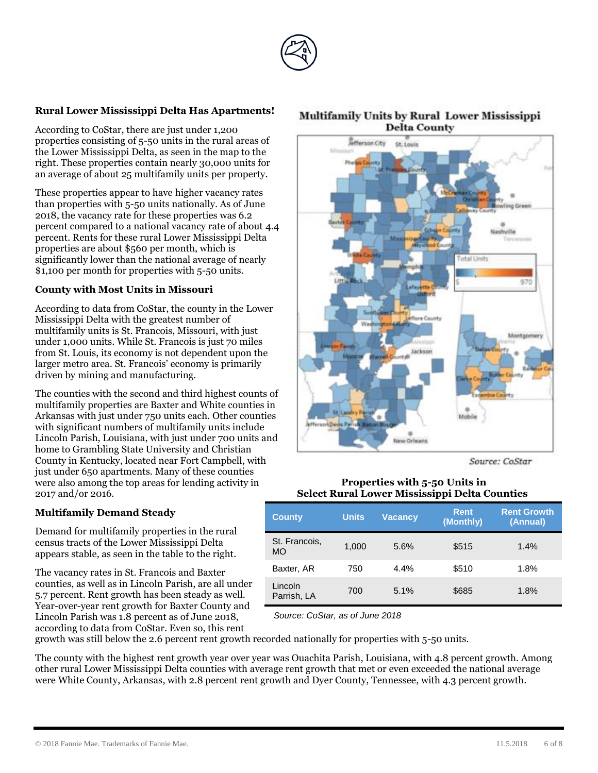

## **Rural Lower Mississippi Delta Has Apartments!**

According to CoStar, there are just under 1,200 properties consisting of 5-50 units in the rural areas of the Lower Mississippi Delta, as seen in the map to the right. These properties contain nearly 30,000 units for an average of about 25 multifamily units per property.

These properties appear to have higher vacancy rates than properties with 5-50 units nationally. As of June 2018, the vacancy rate for these properties was 6.2 percent compared to a national vacancy rate of about 4.4 percent. Rents for these rural Lower Mississippi Delta properties are about \$560 per month, which is significantly lower than the national average of nearly \$1,100 per month for properties with 5-50 units.

#### **County with Most Units in Missouri**

According to data from CoStar, the county in the Lower Mississippi Delta with the greatest number of multifamily units is St. Francois, Missouri, with just under 1,000 units. While St. Francois is just 70 miles from St. Louis, its economy is not dependent upon the larger metro area. St. Francois' economy is primarily driven by mining and manufacturing.

The counties with the second and third highest counts of multifamily properties are Baxter and White counties in Arkansas with just under 750 units each. Other counties with significant numbers of multifamily units include Lincoln Parish, Louisiana, with just under 700 units and home to Grambling State University and Christian County in Kentucky, located near Fort Campbell, with just under 650 apartments. Many of these counties were also among the top areas for lending activity in 2017 and/or 2016.

## **Multifamily Demand Steady**

Demand for multifamily properties in the rural census tracts of the Lower Mississippi Delta appears stable, as seen in the table to the right.

The vacancy rates in St. Francois and Baxter counties, as well as in Lincoln Parish, are all under 5.7 percent. Rent growth has been steady as well. Year-over-year rent growth for Baxter County and Lincoln Parish was 1.8 percent as of June 2018, according to data from CoStar. Even so, this rent

## **Multifamily Units by Rural Lower Mississippi Delta County**



Source: CoStar

#### **Properties with 5-50 Units in Select Rural Lower Mississippi Delta Counties**

| <b>County</b>          | <b>Units</b> | Vacancv | <b>Rent</b><br>(Monthly) | <b>Rent Growth</b><br>(Annual) |
|------------------------|--------------|---------|--------------------------|--------------------------------|
| St. Francois,<br>МO    | 1.000        | 5.6%    | \$515                    | 1.4%                           |
| Baxter, AR             | 750          | $4.4\%$ | \$510                    | 1.8%                           |
| Lincoln<br>Parrish, LA | 700          | 5.1%    | \$685                    | 1.8%                           |

*Source: CoStar, as of June 2018*

growth was still below the 2.6 percent rent growth recorded nationally for properties with 5-50 units.

The county with the highest rent growth year over year was Ouachita Parish, Louisiana, with 4.8 percent growth. Among other rural Lower Mississippi Delta counties with average rent growth that met or even exceeded the national average were White County, Arkansas, with 2.8 percent rent growth and Dyer County, Tennessee, with 4.3 percent growth.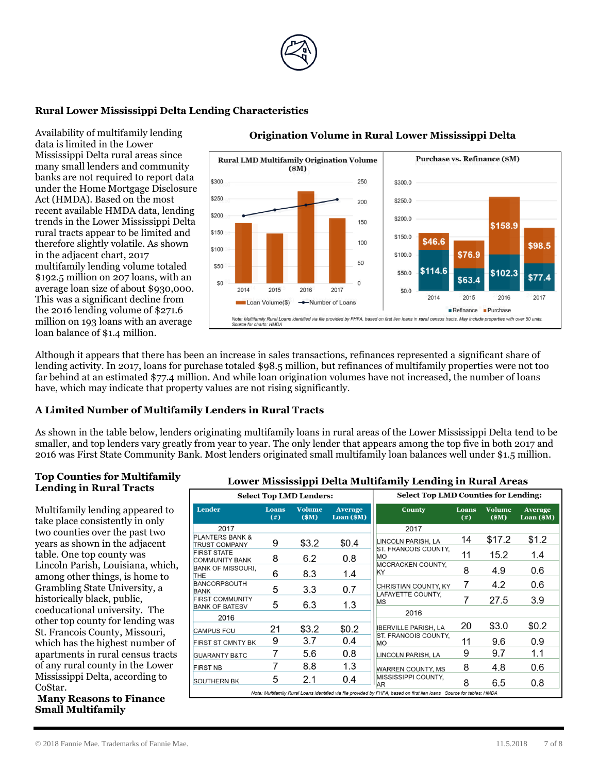

## **Rural Lower Mississippi Delta Lending Characteristics**

Availability of multifamily lending data is limited in the Lower Mississippi Delta rural areas since many small lenders and community banks are not required to report data under the Home Mortgage Disclosure Act (HMDA). Based on the most recent available HMDA data, lending trends in the Lower Mississippi Delta rural tracts appear to be limited and therefore slightly volatile. As shown in the adjacent chart, 2017 multifamily lending volume totaled \$192.5 million on 207 loans, with an average loan size of about \$930,000. This was a significant decline from the 2016 lending volume of \$271.6 million on 193 loans with an average loan balance of \$1.4 million.



#### **Origination Volume in Rural Lower Mississippi Delta**

Although it appears that there has been an increase in sales transactions, refinances represented a significant share of lending activity. In 2017, loans for purchase totaled \$98.5 million, but refinances of multifamily properties were not too far behind at an estimated \$77.4 million. And while loan origination volumes have not increased, the number of loans have, which may indicate that property values are not rising significantly.

#### **A Limited Number of Multifamily Lenders in Rural Tracts**

As shown in the table below, lenders originating multifamily loans in rural areas of the Lower Mississippi Delta tend to be smaller, and top lenders vary greatly from year to year. The only lender that appears among the top five in both 2017 and 2016 was First State Community Bank. Most lenders originated small multifamily loan balances well under \$1.5 million.

#### **Top Counties for Multifamily Lending in Rural Tracts**

Multifamily lending appeared to take place consistently in only two counties over the past two years as shown in the adjacent table. One top county was Lincoln Parish, Louisiana, which, among other things, is home to Grambling State University, a historically black, public, coeducational university. The other top county for lending was St. Francois County, Missouri, which has the highest number of apartments in rural census tracts of any rural county in the Lower Mississippi Delta, according to CoStar.

**Many Reasons to Finance Small Multifamily** 

#### **Lower Mississippi Delta Multifamily Lending in Rural Areas**

| <b>Select Top LMD Lenders:</b>                                                                                        |                           | <b>Select Top LMD Counties for Lending:</b> |                                |                                   |                    |                      |                                |
|-----------------------------------------------------------------------------------------------------------------------|---------------------------|---------------------------------------------|--------------------------------|-----------------------------------|--------------------|----------------------|--------------------------------|
| Lender                                                                                                                | <b>Loans</b><br>$($ # $)$ | <b>Volume</b><br>\$M\$                      | <b>Average</b><br>$Loan$ (\$M) | <b>County</b>                     | Loans<br>$($ # $)$ | <b>Volume</b><br>\$M | <b>Average</b><br>$Loan$ (\$M) |
| 2017                                                                                                                  |                           |                                             |                                | 2017                              |                    |                      |                                |
| <b>PLANTERS BANK &amp;</b><br><b>TRUST COMPANY</b>                                                                    | 9                         | \$3.2                                       | \$0.4                          | LINCOLN PARISH, LA                | 14                 | \$17.2               | \$1.2                          |
| <b>FIRST STATE</b><br><b>COMMUNITY BANK</b>                                                                           | 8                         | 6.2                                         | 0.8                            | ST. FRANCOIS COUNTY,<br><b>MO</b> | 11                 | 15.2                 | 1.4                            |
| <b>BANK OF MISSOURI,</b><br><b>THE</b>                                                                                | 6                         | 8.3                                         | 1.4                            | <b>MCCRACKEN COUNTY,</b><br>KY    | 8                  | 4.9                  | 0.6                            |
| <b>BANCORPSOUTH</b><br><b>BANK</b>                                                                                    | 5                         | 3.3                                         | 0.7                            | CHRISTIAN COUNTY, KY              | 7                  | 4.2                  | 0.6                            |
| <b>FIRST COMMUNITY</b><br><b>BANK OF BATESV</b>                                                                       | 5                         | 6.3                                         | 1.3                            | LAFAYETTE COUNTY.<br><b>MS</b>    |                    | 27.5                 | 3.9                            |
| 2016                                                                                                                  |                           |                                             |                                | 2016                              |                    |                      |                                |
| <b>CAMPUS FCU</b>                                                                                                     | 21                        | \$3.2                                       | \$0.2                          | <b>IBERVILLE PARISH, LA</b>       | 20                 | \$3.0                | \$0.2                          |
| <b>FIRST ST CMNTY BK</b>                                                                                              | 9                         | 3.7                                         | 0.4                            | ST. FRANCOIS COUNTY,<br><b>MO</b> | 11                 | 9.6                  | 0.9                            |
| <b>GUARANTY B&amp;TC</b>                                                                                              |                           | 5.6                                         | 0.8                            | LINCOLN PARISH, LA                | 9                  | 9.7                  | 1.1                            |
| <b>FIRST NB</b>                                                                                                       |                           | 8.8                                         | 1.3                            | WARREN COUNTY, MS                 | 8                  | 4.8                  | 0.6                            |
| <b>SOUTHERN BK</b>                                                                                                    | 5                         | 2.1                                         | 0.4                            | MISSISSIPPI COUNTY,<br><b>AR</b>  | 8                  | 6.5                  | 0.8                            |
| Note: Multifamily Rural Loans identified via file provided by FHFA, based on first lien loans Source for tables: HMDA |                           |                                             |                                |                                   |                    |                      |                                |